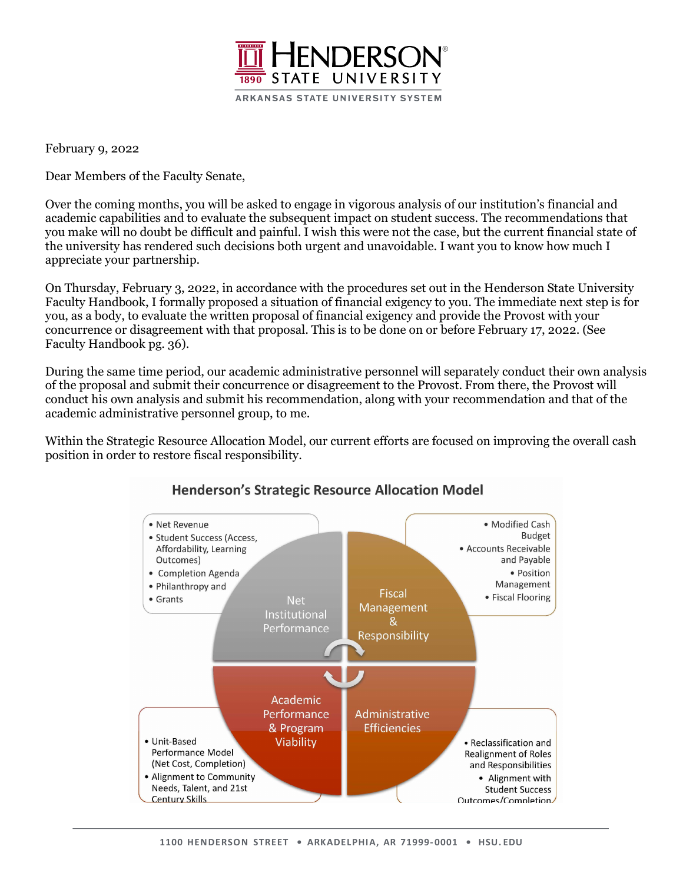

February 9, 2022

Dear Members of the Faculty Senate,

Over the coming months, you will be asked to engage in vigorous analysis of our institution's financial and academic capabilities and to evaluate the subsequent impact on student success. The recommendations that you make will no doubt be difficult and painful. I wish this were not the case, but the current financial state of the university has rendered such decisions both urgent and unavoidable. I want you to know how much I appreciate your partnership.

On Thursday, February 3, 2022, in accordance with the procedures set out in the Henderson State University Faculty Handbook, I formally proposed a situation of financial exigency to you. The immediate next step is for you, as a body, to evaluate the written proposal of financial exigency and provide the Provost with your concurrence or disagreement with that proposal. This is to be done on or before February 17, 2022. (See Faculty Handbook pg. 36).

During the same time period, our academic administrative personnel will separately conduct their own analysis of the proposal and submit their concurrence or disagreement to the Provost. From there, the Provost will conduct his own analysis and submit his recommendation, along with your recommendation and that of the academic administrative personnel group, to me.

Within the Strategic Resource Allocation Model, our current efforts are focused on improving the overall cash position in order to restore fiscal responsibility.



## **Henderson's Strategic Resource Allocation Model**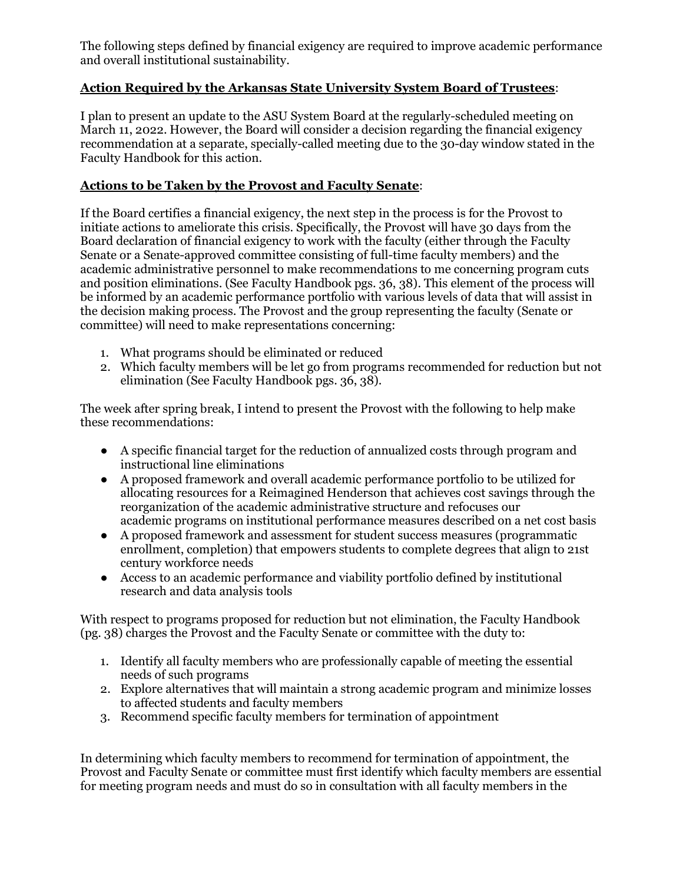The following steps defined by financial exigency are required to improve academic performance and overall institutional sustainability.

## **Action Required by the Arkansas State University System Board of Trustees**:

I plan to present an update to the ASU System Board at the regularly-scheduled meeting on March 11, 2022. However, the Board will consider a decision regarding the financial exigency recommendation at a separate, specially-called meeting due to the 30-day window stated in the Faculty Handbook for this action.

## **Actions to be Taken by the Provost and Faculty Senate**:

If the Board certifies a financial exigency, the next step in the process is for the Provost to initiate actions to ameliorate this crisis. Specifically, the Provost will have 30 days from the Board declaration of financial exigency to work with the faculty (either through the Faculty Senate or a Senate-approved committee consisting of full-time faculty members) and the academic administrative personnel to make recommendations to me concerning program cuts and position eliminations. (See Faculty Handbook pgs. 36, 38). This element of the process will be informed by an academic performance portfolio with various levels of data that will assist in the decision making process. The Provost and the group representing the faculty (Senate or committee) will need to make representations concerning:

- 1. What programs should be eliminated or reduced
- 2. Which faculty members will be let go from programs recommended for reduction but not elimination (See Faculty Handbook pgs. 36, 38).

The week after spring break, I intend to present the Provost with the following to help make these recommendations:

- A specific financial target for the reduction of annualized costs through program and instructional line eliminations
- A proposed framework and overall academic performance portfolio to be utilized for allocating resources for a Reimagined Henderson that achieves cost savings through the reorganization of the academic administrative structure and refocuses our academic programs on institutional performance measures described on a net cost basis
- A proposed framework and assessment for student success measures (programmatic enrollment, completion) that empowers students to complete degrees that align to 21st century workforce needs
- Access to an academic performance and viability portfolio defined by institutional research and data analysis tools

With respect to programs proposed for reduction but not elimination, the Faculty Handbook (pg. 38) charges the Provost and the Faculty Senate or committee with the duty to:

- 1. Identify all faculty members who are professionally capable of meeting the essential needs of such programs
- 2. Explore alternatives that will maintain a strong academic program and minimize losses to affected students and faculty members
- 3. Recommend specific faculty members for termination of appointment

In determining which faculty members to recommend for termination of appointment, the Provost and Faculty Senate or committee must first identify which faculty members are essential for meeting program needs and must do so in consultation with all faculty members in the